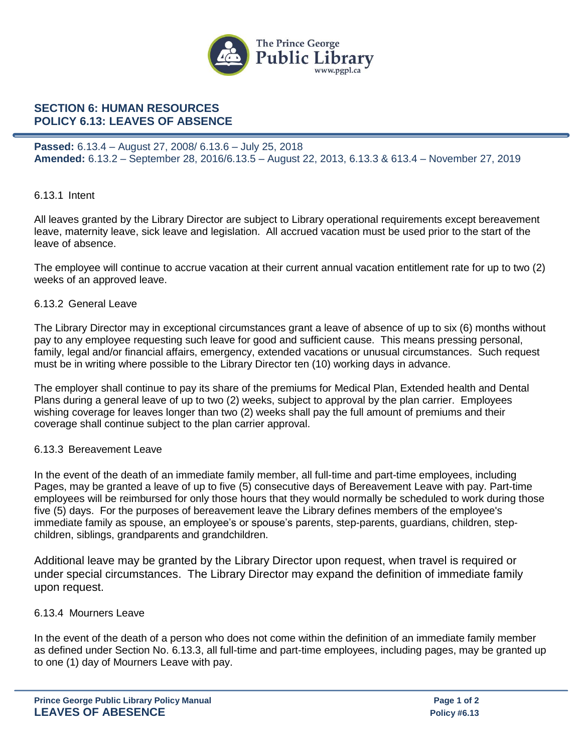

# **SECTION 6: HUMAN RESOURCES POLICY 6.13: LEAVES OF ABSENCE**

**Passed:** 6.13.4 – August 27, 2008/ 6.13.6 – July 25, 2018 **Amended:** 6.13.2 – September 28, 2016/6.13.5 – August 22, 2013, 6.13.3 & 613.4 – November 27, 2019

### 6.13.1 Intent

All leaves granted by the Library Director are subject to Library operational requirements except bereavement leave, maternity leave, sick leave and legislation. All accrued vacation must be used prior to the start of the leave of absence.

The employee will continue to accrue vacation at their current annual vacation entitlement rate for up to two (2) weeks of an approved leave.

#### 6.13.2 General Leave

The Library Director may in exceptional circumstances grant a leave of absence of up to six (6) months without pay to any employee requesting such leave for good and sufficient cause. This means pressing personal, family, legal and/or financial affairs, emergency, extended vacations or unusual circumstances. Such request must be in writing where possible to the Library Director ten (10) working days in advance.

The employer shall continue to pay its share of the premiums for Medical Plan, Extended health and Dental Plans during a general leave of up to two (2) weeks, subject to approval by the plan carrier. Employees wishing coverage for leaves longer than two (2) weeks shall pay the full amount of premiums and their coverage shall continue subject to the plan carrier approval.

## 6.13.3 Bereavement Leave

In the event of the death of an immediate family member, all full-time and part-time employees, including Pages, may be granted a leave of up to five (5) consecutive days of Bereavement Leave with pay. Part-time employees will be reimbursed for only those hours that they would normally be scheduled to work during those five (5) days. For the purposes of bereavement leave the Library defines members of the employee's immediate family as spouse, an employee's or spouse's parents, step-parents, guardians, children, stepchildren, siblings, grandparents and grandchildren.

Additional leave may be granted by the Library Director upon request, when travel is required or under special circumstances. The Library Director may expand the definition of immediate family upon request.

#### 6.13.4 Mourners Leave

In the event of the death of a person who does not come within the definition of an immediate family member as defined under Section No. 6.13.3, all full-time and part-time employees, including pages, may be granted up to one (1) day of Mourners Leave with pay.